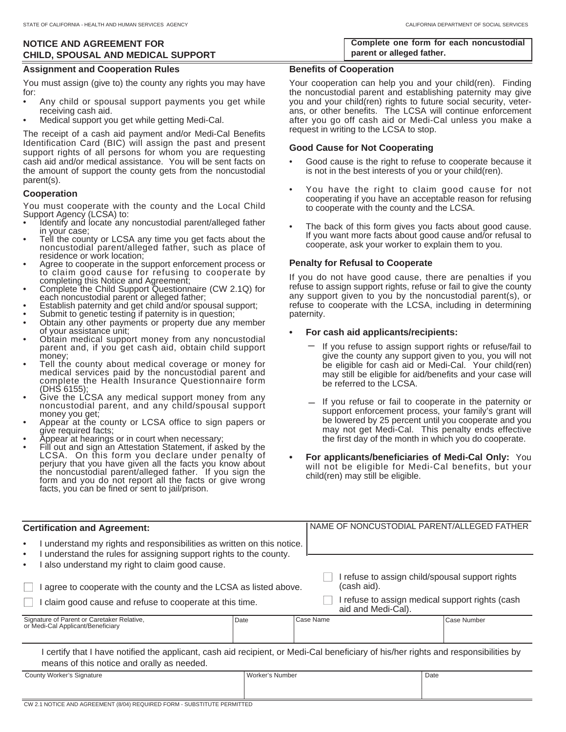# **NOTICE AND AGREEMENT FOR CHILD, SPOUSAL AND MEDICAL SUPPORT**

### **Assignment and Cooperation Rules**

You must assign (give to) the county any rights you may have for:

- Any child or spousal support payments you get while receiving cash aid.
- Medical support you get while getting Medi-Cal.

The receipt of a cash aid payment and/or Medi-Cal Benefits Identification Card (BIC) will assign the past and present support rights of all persons for whom you are requesting cash aid and/or medical assistance. You will be sent facts on the amount of support the county gets from the noncustodial parent(s).

### **Cooperation**

You must cooperate with the county and the Local Child Support Agency (LCSA) to:

- Identify and locate any noncustodial parent/alleged father
- in your case;<br>Tell the county or LCSA any time you get facts about the<br>noncustodial parent/alleged father, such as place of residence or work location;
- Agree to cooperate in the support enforcement process or to claim good cause for refusing to cooperate by completing this Notice and Agreement;
- Complete the Child Support Questionnaire (CW 2.1Q) for each noncustodial parent or alleged father;
- Establish paternity and get child and/or spousal support;
- Submit to genetic testing if paternity is in question;
- Obtain any other payments or property due any member of your assistance unit;
- Obtain medical support money from any noncustodial parent and, if you get cash aid, obtain child support money;
- Tell the county about medical coverage or money for medical services paid by the noncustodial parent and complete the Health Insurance Questionnaire form (DHS 6155);<br>Give the LCSA any medical support money from any
- noncustodial parent, and any child/spousal support money you get;
- Appear at the county or LCSA office to sign papers or give required facts;
- Appear at hearings or in court when necessary;
- Fill out and sign an Attestation Statement, if asked by the LCSA. On this form you declare under penalty of perjury that you have given all the facts you know about the noncustodial parent/alleged father. If you sign the form and you do not report all the facts or give wrong facts, you can be fined or sent to jail/prison.

**Complete one form for each noncustodial parent or alleged father.**

#### **Benefits of Cooperation**

Your cooperation can help you and your child(ren). Finding the noncustodial parent and establishing paternity may give you and your child(ren) rights to future social security, veterans, or other benefits. The LCSA will continue enforcement after you go off cash aid or Medi-Cal unless you make a request in writing to the LCSA to stop.

#### **Good Cause for Not Cooperating**

- Good cause is the right to refuse to cooperate because it is not in the best interests of you or your child(ren).
- You have the right to claim good cause for not cooperating if you have an acceptable reason for refusing to cooperate with the county and the LCSA.
- The back of this form gives you facts about good cause. If you want more facts about good cause and/or refusal to cooperate, ask your worker to explain them to you.

### **Penalty for Refusal to Cooperate**

If you do not have good cause, there are penalties if you refuse to assign support rights, refuse or fail to give the county any support given to you by the noncustodial parent(s), or refuse to cooperate with the LCSA, including in determining paternity.

### **• For cash aid applicants/recipients:**

- If you refuse to assign support rights or refuse/fail to give the county any support given to you, you will not be eligible for cash aid or Medi-Cal. Your child(ren) may still be eligible for aid/benefits and your case will be referred to the LCSA. \_
- If you refuse or fail to cooperate in the paternity or support enforcement process, your family's grant will be lowered by 25 percent until you cooperate and you may not get Medi-Cal. This penalty ends effective the first day of the month in which you do cooperate.
- **For applicants/beneficiaries of Medi-Cal Only:** You will not be eligible for Medi-Cal benefits, but your child(ren) may still be eligible.

| <b>Certification and Agreement:</b>                                                                                                                                                                                |                 |           | NAME OF NONCUSTODIAL PARENT/ALLEGED FATHER                            |  |             |  |
|--------------------------------------------------------------------------------------------------------------------------------------------------------------------------------------------------------------------|-----------------|-----------|-----------------------------------------------------------------------|--|-------------|--|
| understand my rights and responsibilities as written on this notice.<br>$\bullet$<br>I understand the rules for assigning support rights to the county.<br>٠<br>also understand my right to claim good cause.<br>٠ |                 |           |                                                                       |  |             |  |
| agree to cooperate with the county and the LCSA as listed above.                                                                                                                                                   |                 |           | I refuse to assign child/spousal support rights<br>(cash aid).        |  |             |  |
| I claim good cause and refuse to cooperate at this time.                                                                                                                                                           |                 |           | I refuse to assign medical support rights (cash<br>aid and Medi-Cal). |  |             |  |
| Signature of Parent or Caretaker Relative,<br>or Medi-Cal Applicant/Beneficiary                                                                                                                                    | Date            | Case Name |                                                                       |  | Case Number |  |
| certify that I have notified the applicant, cash aid recipient, or Medi-Cal beneficiary of his/her rights and responsibilities by<br>means of this notice and orally as needed.                                    |                 |           |                                                                       |  |             |  |
| County Worker's Signature                                                                                                                                                                                          | Worker's Number |           |                                                                       |  | Date        |  |